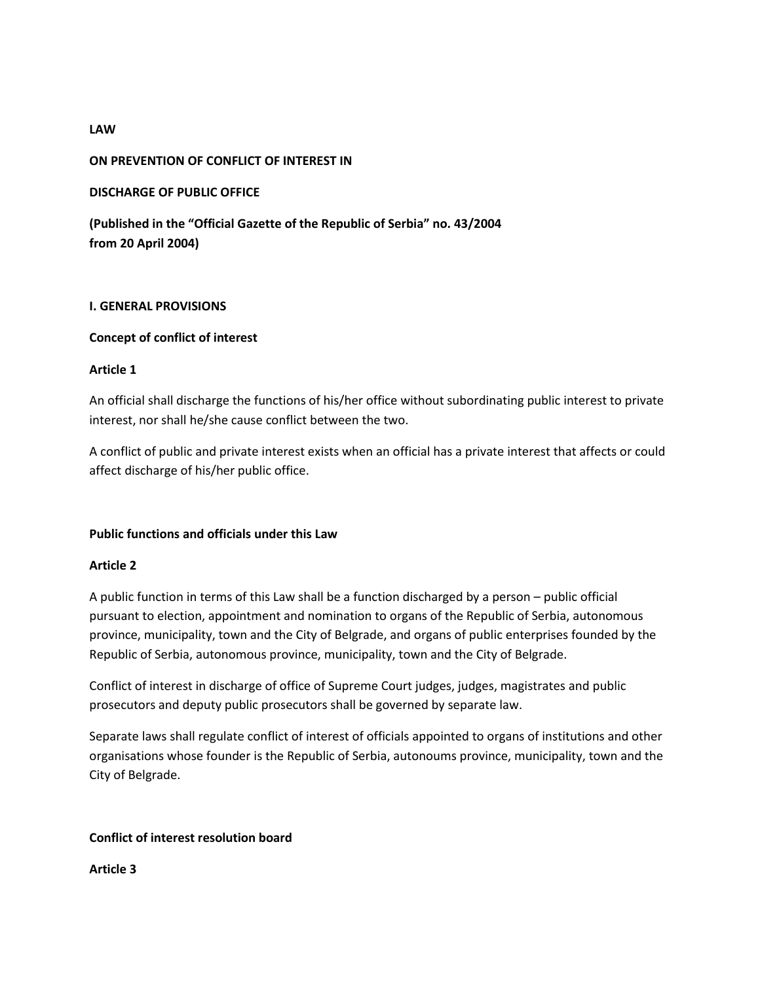# **ON PREVENTION OF CONFLICT OF INTEREST IN**

# **DISCHARGE OF PUBLIC OFFICE**

**(Published in the "Official Gazette of the Republic of Serbia" no. 43/2004 from 20 April 2004)** 

### **I. GENERAL PROVISIONS**

# **Concept of conflict of interest**

# **Article 1**

An official shall discharge the functions of his/her office without subordinating public interest to private interest, nor shall he/she cause conflict between the two.

A conflict of public and private interest exists when an official has a private interest that affects or could affect discharge of his/her public office.

### **Public functions and officials under this Law**

### **Article 2**

A public function in terms of this Law shall be a function discharged by a person – public official pursuant to election, appointment and nomination to organs of the Republic of Serbia, autonomous province, municipality, town and the City of Belgrade, and organs of public enterprises founded by the Republic of Serbia, autonomous province, municipality, town and the City of Belgrade.

Conflict of interest in discharge of office of Supreme Court judges, judges, magistrates and public prosecutors and deputy public prosecutors shall be governed by separate law.

Separate laws shall regulate conflict of interest of officials appointed to organs of institutions and other organisations whose founder is the Republic of Serbia, autonoums province, municipality, town and the City of Belgrade.

### **Conflict of interest resolution board**

**Article 3** 

# **LAW**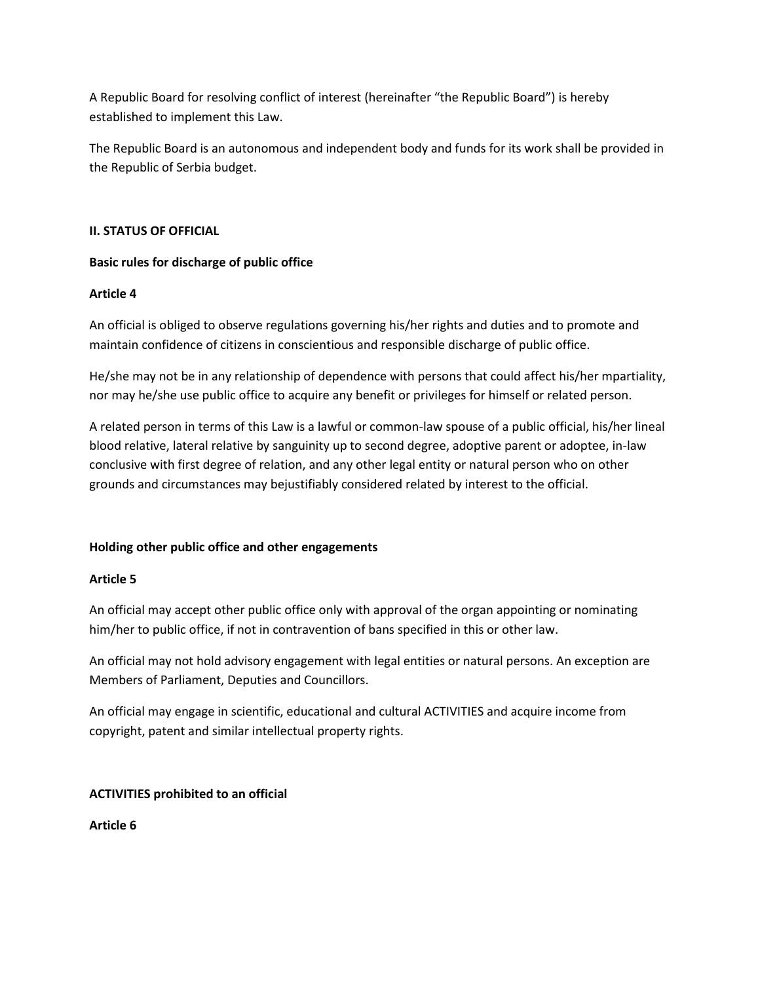A Republic Board for resolving conflict of interest (hereinafter "the Republic Board") is hereby established to implement this Law.

The Republic Board is an autonomous and independent body and funds for its work shall be provided in the Republic of Serbia budget.

### **II. STATUS OF OFFICIAL**

# **Basic rules for discharge of public office**

# **Article 4**

An official is obliged to observe regulations governing his/her rights and duties and to promote and maintain confidence of citizens in conscientious and responsible discharge of public office.

He/she may not be in any relationship of dependence with persons that could affect his/her mpartiality, nor may he/she use public office to acquire any benefit or privileges for himself or related person.

A related person in terms of this Law is a lawful or common-law spouse of a public official, his/her lineal blood relative, lateral relative by sanguinity up to second degree, adoptive parent or adoptee, in-law conclusive with first degree of relation, and any other legal entity or natural person who on other grounds and circumstances may bejustifiably considered related by interest to the official.

# **Holding other public office and other engagements**

### **Article 5**

An official may accept other public office only with approval of the organ appointing or nominating him/her to public office, if not in contravention of bans specified in this or other law.

An official may not hold advisory engagement with legal entities or natural persons. An exception are Members of Parliament, Deputies and Councillors.

An official may engage in scientific, educational and cultural ACTIVITIES and acquire income from copyright, patent and similar intellectual property rights.

# **ACTIVITIES prohibited to an official**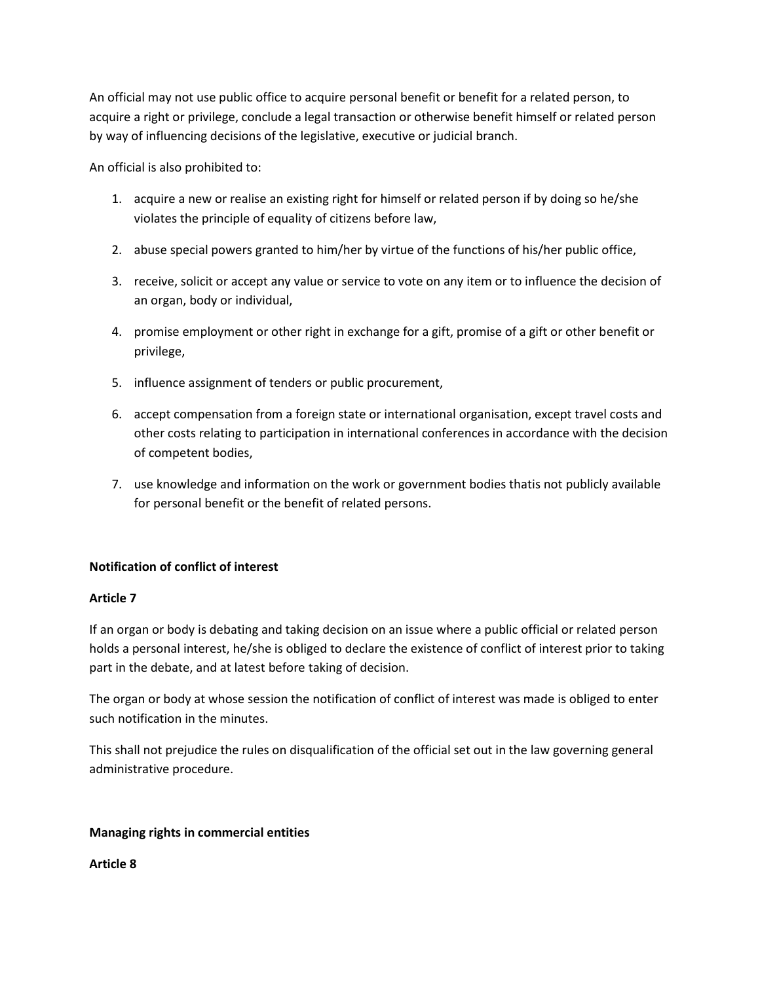An official may not use public office to acquire personal benefit or benefit for a related person, to acquire a right or privilege, conclude a legal transaction or otherwise benefit himself or related person by way of influencing decisions of the legislative, executive or judicial branch.

An official is also prohibited to:

- 1. acquire a new or realise an existing right for himself or related person if by doing so he/she violates the principle of equality of citizens before law,
- 2. abuse special powers granted to him/her by virtue of the functions of his/her public office,
- 3. receive, solicit or accept any value or service to vote on any item or to influence the decision of an organ, body or individual,
- 4. promise employment or other right in exchange for a gift, promise of a gift or other benefit or privilege,
- 5. influence assignment of tenders or public procurement,
- 6. accept compensation from a foreign state or international organisation, except travel costs and other costs relating to participation in international conferences in accordance with the decision of competent bodies,
- 7. use knowledge and information on the work or government bodies thatis not publicly available for personal benefit or the benefit of related persons.

# **Notification of conflict of interest**

### **Article 7**

If an organ or body is debating and taking decision on an issue where a public official or related person holds a personal interest, he/she is obliged to declare the existence of conflict of interest prior to taking part in the debate, and at latest before taking of decision.

The organ or body at whose session the notification of conflict of interest was made is obliged to enter such notification in the minutes.

This shall not prejudice the rules on disqualification of the official set out in the law governing general administrative procedure.

# **Managing rights in commercial entities**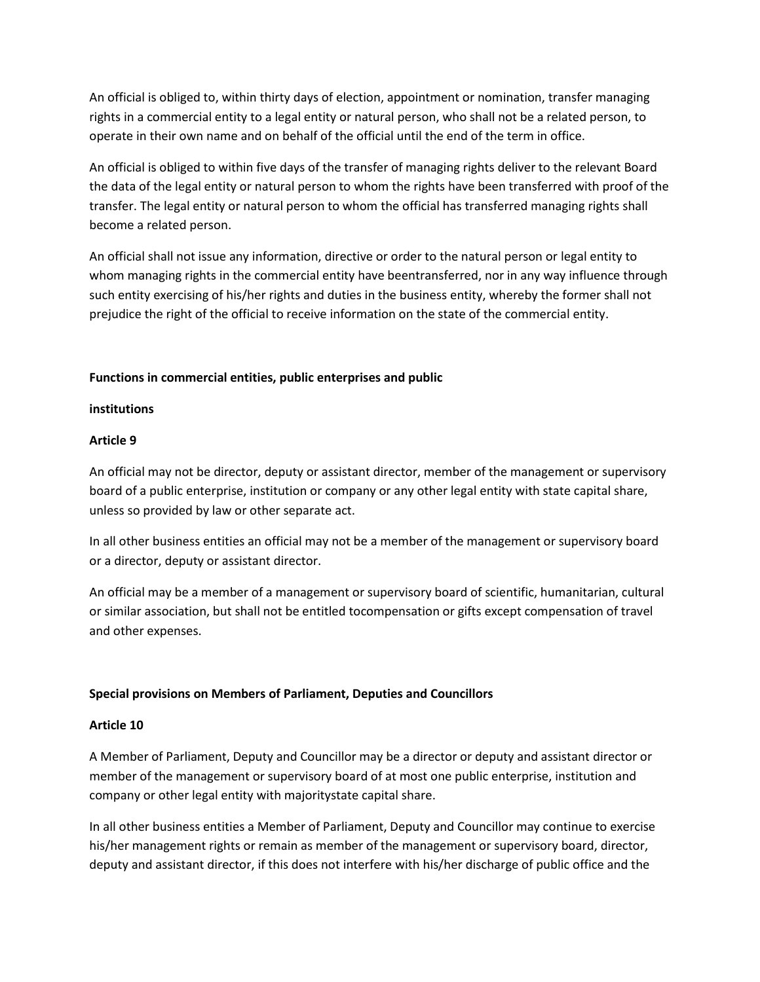An official is obliged to, within thirty days of election, appointment or nomination, transfer managing rights in a commercial entity to a legal entity or natural person, who shall not be a related person, to operate in their own name and on behalf of the official until the end of the term in office.

An official is obliged to within five days of the transfer of managing rights deliver to the relevant Board the data of the legal entity or natural person to whom the rights have been transferred with proof of the transfer. The legal entity or natural person to whom the official has transferred managing rights shall become a related person.

An official shall not issue any information, directive or order to the natural person or legal entity to whom managing rights in the commercial entity have beentransferred, nor in any way influence through such entity exercising of his/her rights and duties in the business entity, whereby the former shall not prejudice the right of the official to receive information on the state of the commercial entity.

### **Functions in commercial entities, public enterprises and public**

### **institutions**

# **Article 9**

An official may not be director, deputy or assistant director, member of the management or supervisory board of a public enterprise, institution or company or any other legal entity with state capital share, unless so provided by law or other separate act.

In all other business entities an official may not be a member of the management or supervisory board or a director, deputy or assistant director.

An official may be a member of a management or supervisory board of scientific, humanitarian, cultural or similar association, but shall not be entitled tocompensation or gifts except compensation of travel and other expenses.

# **Special provisions on Members of Parliament, Deputies and Councillors**

### **Article 10**

A Member of Parliament, Deputy and Councillor may be a director or deputy and assistant director or member of the management or supervisory board of at most one public enterprise, institution and company or other legal entity with majoritystate capital share.

In all other business entities a Member of Parliament, Deputy and Councillor may continue to exercise his/her management rights or remain as member of the management or supervisory board, director, deputy and assistant director, if this does not interfere with his/her discharge of public office and the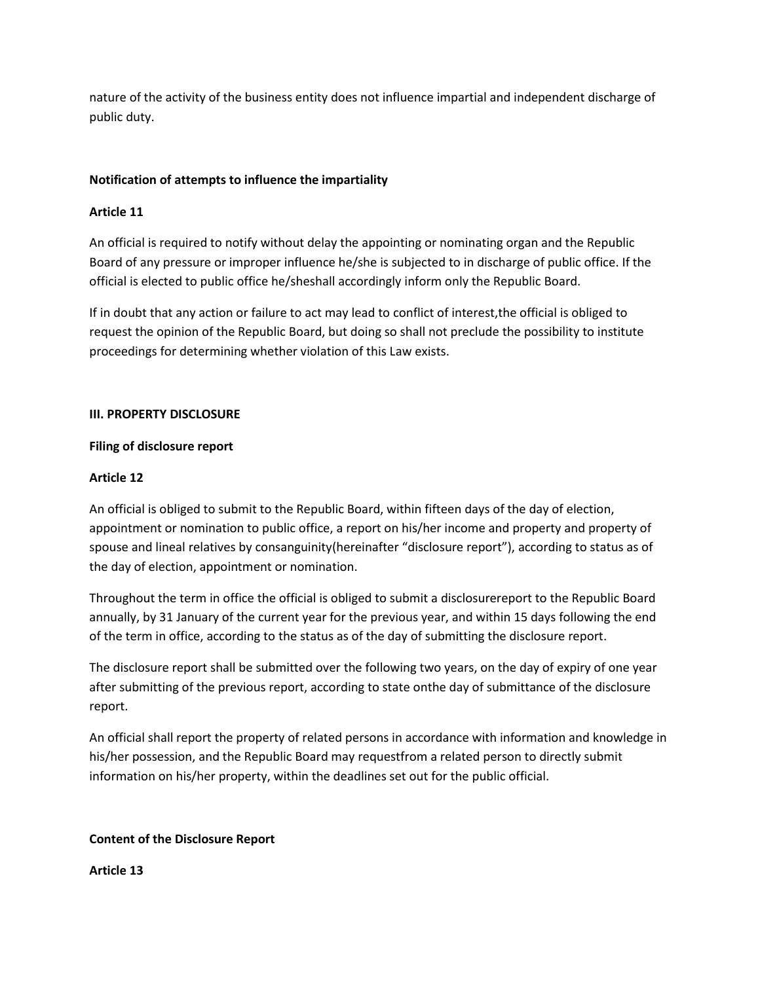nature of the activity of the business entity does not influence impartial and independent discharge of public duty.

# **Notification of attempts to influence the impartiality**

# **Article 11**

An official is required to notify without delay the appointing or nominating organ and the Republic Board of any pressure or improper influence he/she is subjected to in discharge of public office. If the official is elected to public office he/sheshall accordingly inform only the Republic Board.

If in doubt that any action or failure to act may lead to conflict of interest,the official is obliged to request the opinion of the Republic Board, but doing so shall not preclude the possibility to institute proceedings for determining whether violation of this Law exists.

# **III. PROPERTY DISCLOSURE**

# **Filing of disclosure report**

# **Article 12**

An official is obliged to submit to the Republic Board, within fifteen days of the day of election, appointment or nomination to public office, a report on his/her income and property and property of spouse and lineal relatives by consanguinity(hereinafter "disclosure report"), according to status as of the day of election, appointment or nomination.

Throughout the term in office the official is obliged to submit a disclosurereport to the Republic Board annually, by 31 January of the current year for the previous year, and within 15 days following the end of the term in office, according to the status as of the day of submitting the disclosure report.

The disclosure report shall be submitted over the following two years, on the day of expiry of one year after submitting of the previous report, according to state onthe day of submittance of the disclosure report.

An official shall report the property of related persons in accordance with information and knowledge in his/her possession, and the Republic Board may requestfrom a related person to directly submit information on his/her property, within the deadlines set out for the public official.

# **Content of the Disclosure Report**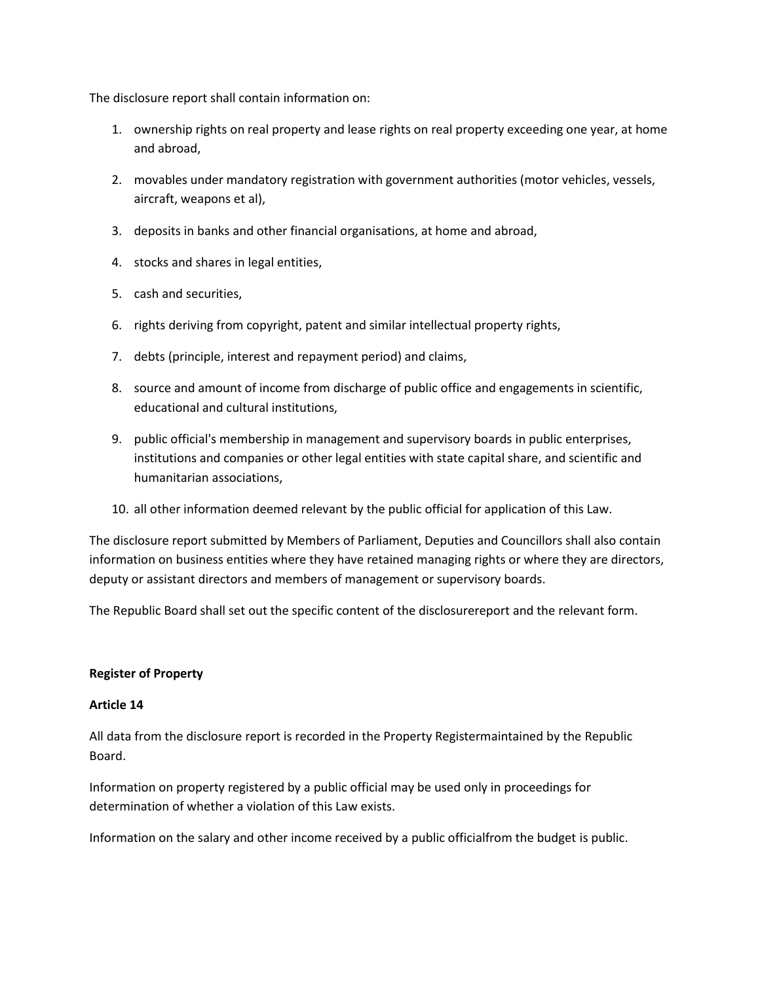The disclosure report shall contain information on:

- 1. ownership rights on real property and lease rights on real property exceeding one year, at home and abroad,
- 2. movables under mandatory registration with government authorities (motor vehicles, vessels, aircraft, weapons et al),
- 3. deposits in banks and other financial organisations, at home and abroad,
- 4. stocks and shares in legal entities,
- 5. cash and securities,
- 6. rights deriving from copyright, patent and similar intellectual property rights,
- 7. debts (principle, interest and repayment period) and claims,
- 8. source and amount of income from discharge of public office and engagements in scientific, educational and cultural institutions,
- 9. public official's membership in management and supervisory boards in public enterprises, institutions and companies or other legal entities with state capital share, and scientific and humanitarian associations,
- 10. all other information deemed relevant by the public official for application of this Law.

The disclosure report submitted by Members of Parliament, Deputies and Councillors shall also contain information on business entities where they have retained managing rights or where they are directors, deputy or assistant directors and members of management or supervisory boards.

The Republic Board shall set out the specific content of the disclosurereport and the relevant form.

### **Register of Property**

### **Article 14**

All data from the disclosure report is recorded in the Property Registermaintained by the Republic Board.

Information on property registered by a public official may be used only in proceedings for determination of whether a violation of this Law exists.

Information on the salary and other income received by a public officialfrom the budget is public.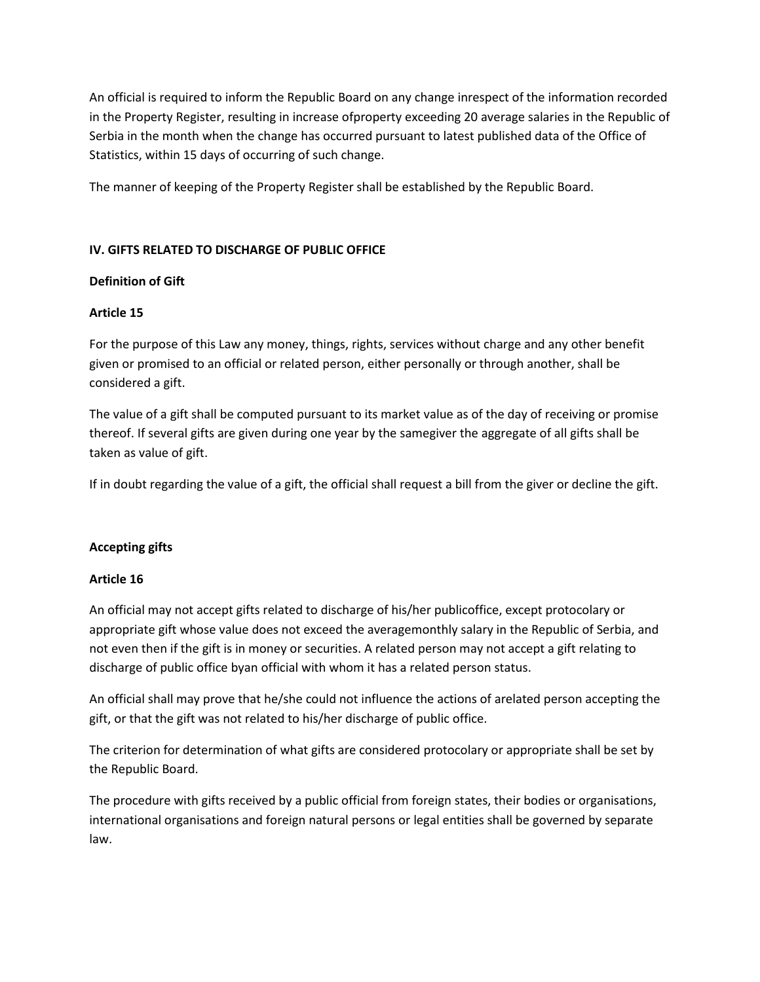An official is required to inform the Republic Board on any change inrespect of the information recorded in the Property Register, resulting in increase ofproperty exceeding 20 average salaries in the Republic of Serbia in the month when the change has occurred pursuant to latest published data of the Office of Statistics, within 15 days of occurring of such change.

The manner of keeping of the Property Register shall be established by the Republic Board.

# **IV. GIFTS RELATED TO DISCHARGE OF PUBLIC OFFICE**

# **Definition of Gift**

# **Article 15**

For the purpose of this Law any money, things, rights, services without charge and any other benefit given or promised to an official or related person, either personally or through another, shall be considered a gift.

The value of a gift shall be computed pursuant to its market value as of the day of receiving or promise thereof. If several gifts are given during one year by the samegiver the aggregate of all gifts shall be taken as value of gift.

If in doubt regarding the value of a gift, the official shall request a bill from the giver or decline the gift.

# **Accepting gifts**

# **Article 16**

An official may not accept gifts related to discharge of his/her publicoffice, except protocolary or appropriate gift whose value does not exceed the averagemonthly salary in the Republic of Serbia, and not even then if the gift is in money or securities. A related person may not accept a gift relating to discharge of public office byan official with whom it has a related person status.

An official shall may prove that he/she could not influence the actions of arelated person accepting the gift, or that the gift was not related to his/her discharge of public office.

The criterion for determination of what gifts are considered protocolary or appropriate shall be set by the Republic Board.

The procedure with gifts received by a public official from foreign states, their bodies or organisations, international organisations and foreign natural persons or legal entities shall be governed by separate law.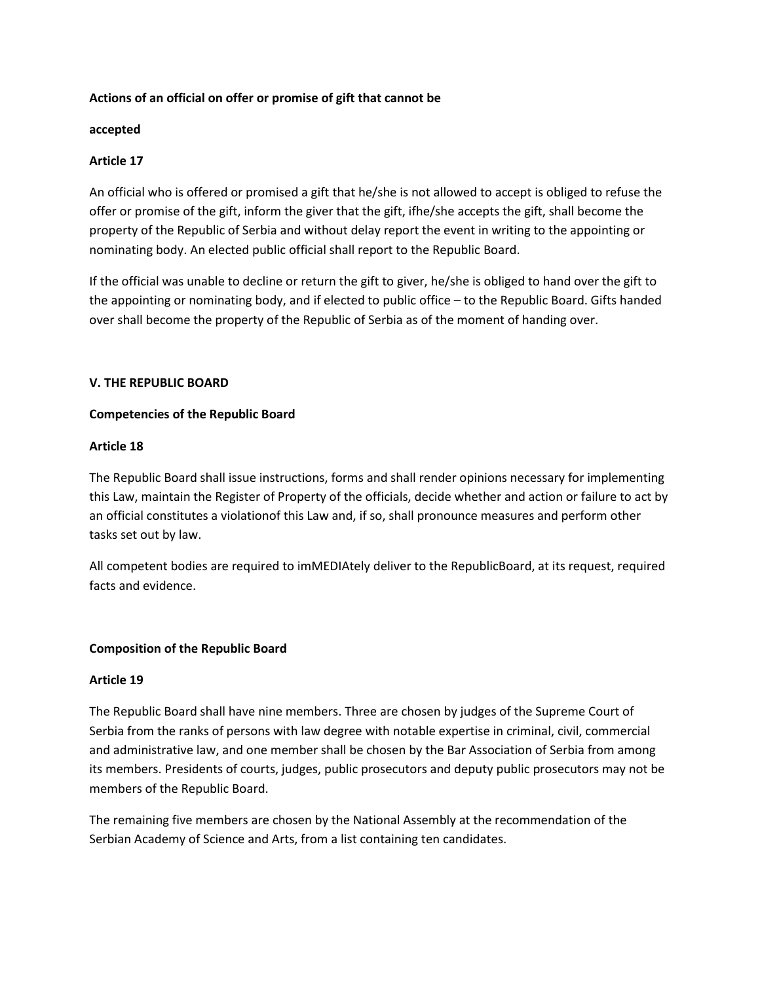### **Actions of an official on offer or promise of gift that cannot be**

#### **accepted**

### **Article 17**

An official who is offered or promised a gift that he/she is not allowed to accept is obliged to refuse the offer or promise of the gift, inform the giver that the gift, ifhe/she accepts the gift, shall become the property of the Republic of Serbia and without delay report the event in writing to the appointing or nominating body. An elected public official shall report to the Republic Board.

If the official was unable to decline or return the gift to giver, he/she is obliged to hand over the gift to the appointing or nominating body, and if elected to public office – to the Republic Board. Gifts handed over shall become the property of the Republic of Serbia as of the moment of handing over.

#### **V. THE REPUBLIC BOARD**

#### **Competencies of the Republic Board**

#### **Article 18**

The Republic Board shall issue instructions, forms and shall render opinions necessary for implementing this Law, maintain the Register of Property of the officials, decide whether and action or failure to act by an official constitutes a violationof this Law and, if so, shall pronounce measures and perform other tasks set out by law.

All competent bodies are required to imMEDIAtely deliver to the RepublicBoard, at its request, required facts and evidence.

#### **Composition of the Republic Board**

#### **Article 19**

The Republic Board shall have nine members. Three are chosen by judges of the Supreme Court of Serbia from the ranks of persons with law degree with notable expertise in criminal, civil, commercial and administrative law, and one member shall be chosen by the Bar Association of Serbia from among its members. Presidents of courts, judges, public prosecutors and deputy public prosecutors may not be members of the Republic Board.

The remaining five members are chosen by the National Assembly at the recommendation of the Serbian Academy of Science and Arts, from a list containing ten candidates.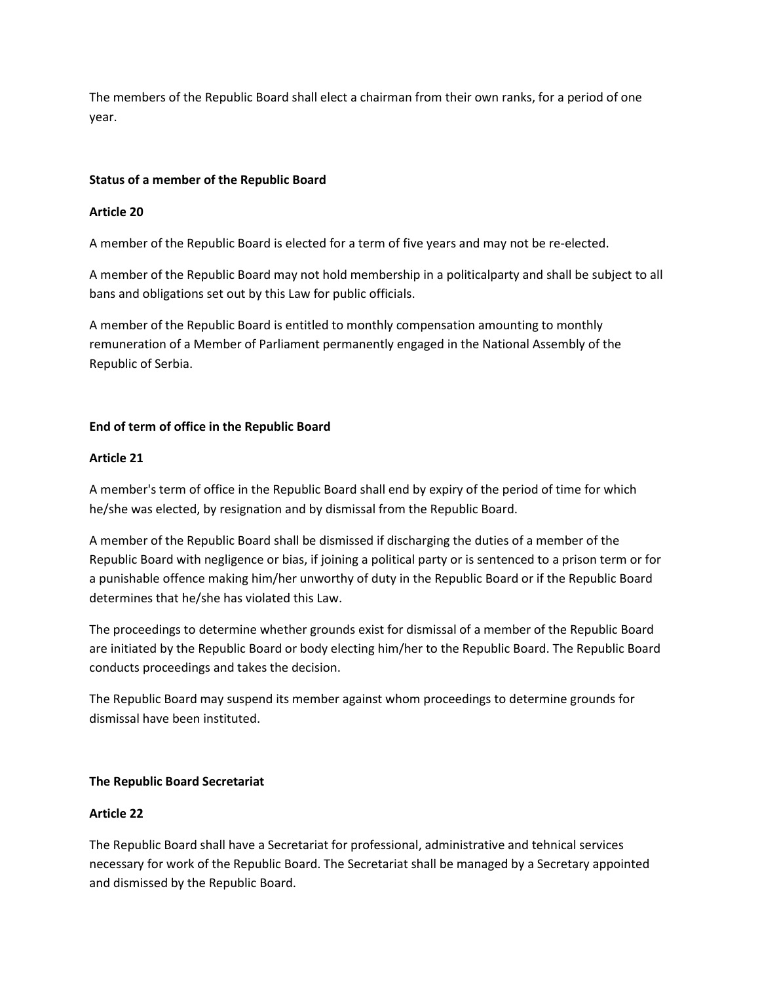The members of the Republic Board shall elect a chairman from their own ranks, for a period of one year.

# **Status of a member of the Republic Board**

# **Article 20**

A member of the Republic Board is elected for a term of five years and may not be re-elected.

A member of the Republic Board may not hold membership in a politicalparty and shall be subject to all bans and obligations set out by this Law for public officials.

A member of the Republic Board is entitled to monthly compensation amounting to monthly remuneration of a Member of Parliament permanently engaged in the National Assembly of the Republic of Serbia.

# **End of term of office in the Republic Board**

### **Article 21**

A member's term of office in the Republic Board shall end by expiry of the period of time for which he/she was elected, by resignation and by dismissal from the Republic Board.

A member of the Republic Board shall be dismissed if discharging the duties of a member of the Republic Board with negligence or bias, if joining a political party or is sentenced to a prison term or for a punishable offence making him/her unworthy of duty in the Republic Board or if the Republic Board determines that he/she has violated this Law.

The proceedings to determine whether grounds exist for dismissal of a member of the Republic Board are initiated by the Republic Board or body electing him/her to the Republic Board. The Republic Board conducts proceedings and takes the decision.

The Republic Board may suspend its member against whom proceedings to determine grounds for dismissal have been instituted.

# **The Republic Board Secretariat**

# **Article 22**

The Republic Board shall have a Secretariat for professional, administrative and tehnical services necessary for work of the Republic Board. The Secretariat shall be managed by a Secretary appointed and dismissed by the Republic Board.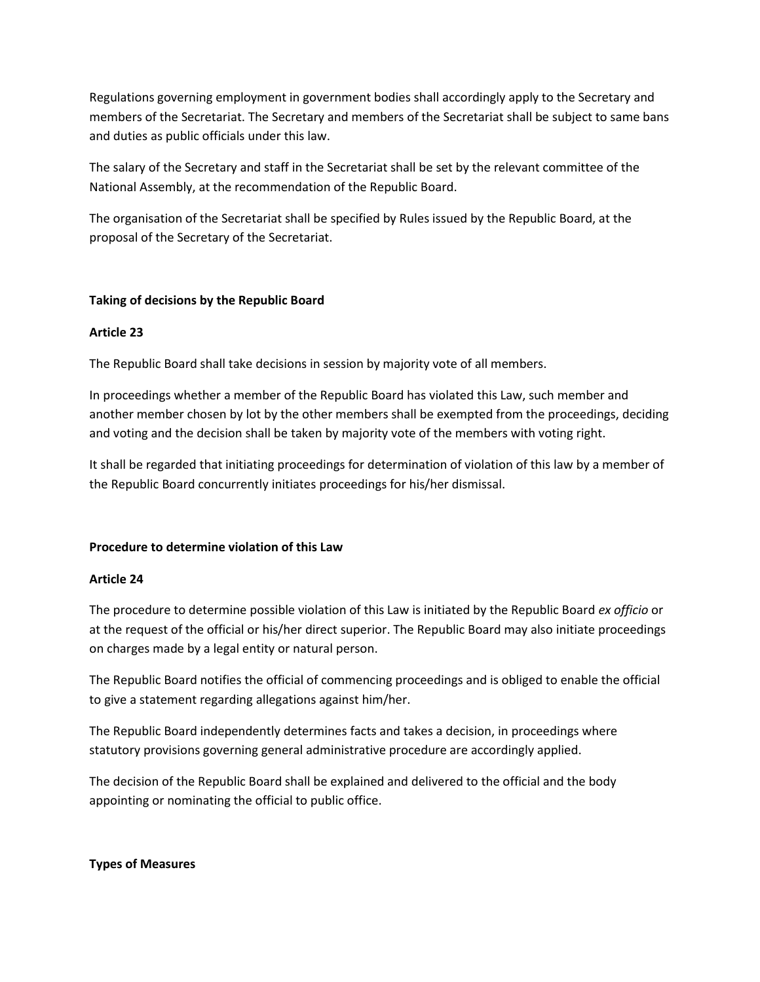Regulations governing employment in government bodies shall accordingly apply to the Secretary and members of the Secretariat. The Secretary and members of the Secretariat shall be subject to same bans and duties as public officials under this law.

The salary of the Secretary and staff in the Secretariat shall be set by the relevant committee of the National Assembly, at the recommendation of the Republic Board.

The organisation of the Secretariat shall be specified by Rules issued by the Republic Board, at the proposal of the Secretary of the Secretariat.

# **Taking of decisions by the Republic Board**

### **Article 23**

The Republic Board shall take decisions in session by majority vote of all members.

In proceedings whether a member of the Republic Board has violated this Law, such member and another member chosen by lot by the other members shall be exempted from the proceedings, deciding and voting and the decision shall be taken by majority vote of the members with voting right.

It shall be regarded that initiating proceedings for determination of violation of this law by a member of the Republic Board concurrently initiates proceedings for his/her dismissal.

### **Procedure to determine violation of this Law**

### **Article 24**

The procedure to determine possible violation of this Law is initiated by the Republic Board *ex officio* or at the request of the official or his/her direct superior. The Republic Board may also initiate proceedings on charges made by a legal entity or natural person.

The Republic Board notifies the official of commencing proceedings and is obliged to enable the official to give a statement regarding allegations against him/her.

The Republic Board independently determines facts and takes a decision, in proceedings where statutory provisions governing general administrative procedure are accordingly applied.

The decision of the Republic Board shall be explained and delivered to the official and the body appointing or nominating the official to public office.

### **Types of Measures**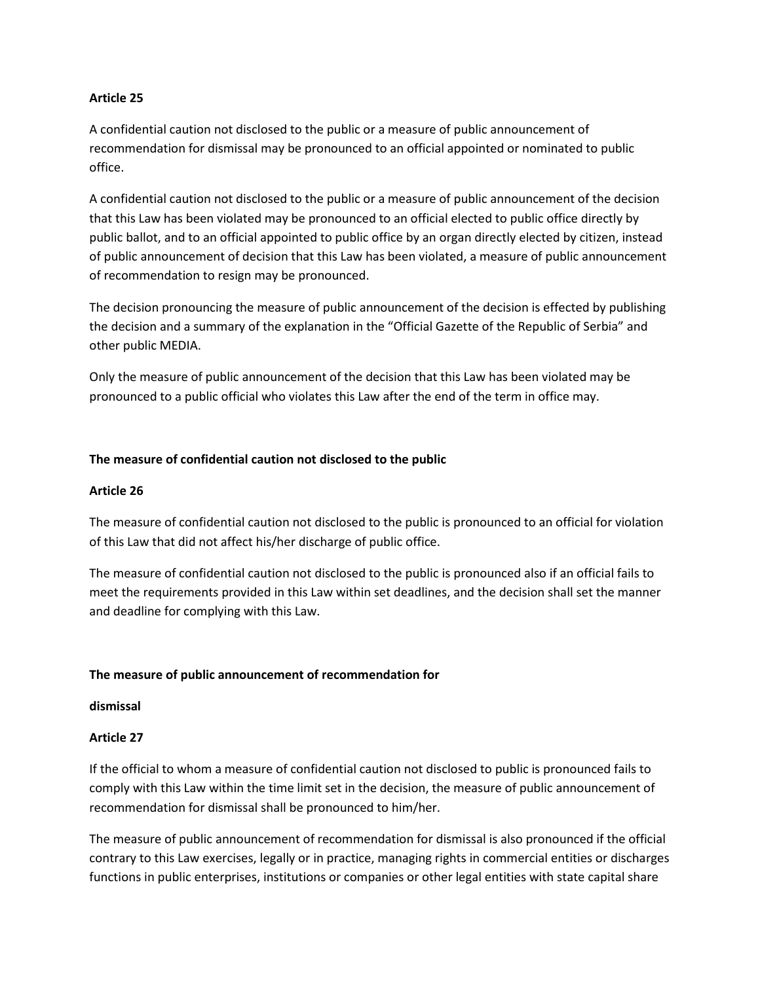### **Article 25**

A confidential caution not disclosed to the public or a measure of public announcement of recommendation for dismissal may be pronounced to an official appointed or nominated to public office.

A confidential caution not disclosed to the public or a measure of public announcement of the decision that this Law has been violated may be pronounced to an official elected to public office directly by public ballot, and to an official appointed to public office by an organ directly elected by citizen, instead of public announcement of decision that this Law has been violated, a measure of public announcement of recommendation to resign may be pronounced.

The decision pronouncing the measure of public announcement of the decision is effected by publishing the decision and a summary of the explanation in the "Official Gazette of the Republic of Serbia" and other public MEDIA.

Only the measure of public announcement of the decision that this Law has been violated may be pronounced to a public official who violates this Law after the end of the term in office may.

#### **The measure of confidential caution not disclosed to the public**

#### **Article 26**

The measure of confidential caution not disclosed to the public is pronounced to an official for violation of this Law that did not affect his/her discharge of public office.

The measure of confidential caution not disclosed to the public is pronounced also if an official fails to meet the requirements provided in this Law within set deadlines, and the decision shall set the manner and deadline for complying with this Law.

#### **The measure of public announcement of recommendation for**

#### **dismissal**

#### **Article 27**

If the official to whom a measure of confidential caution not disclosed to public is pronounced fails to comply with this Law within the time limit set in the decision, the measure of public announcement of recommendation for dismissal shall be pronounced to him/her.

The measure of public announcement of recommendation for dismissal is also pronounced if the official contrary to this Law exercises, legally or in practice, managing rights in commercial entities or discharges functions in public enterprises, institutions or companies or other legal entities with state capital share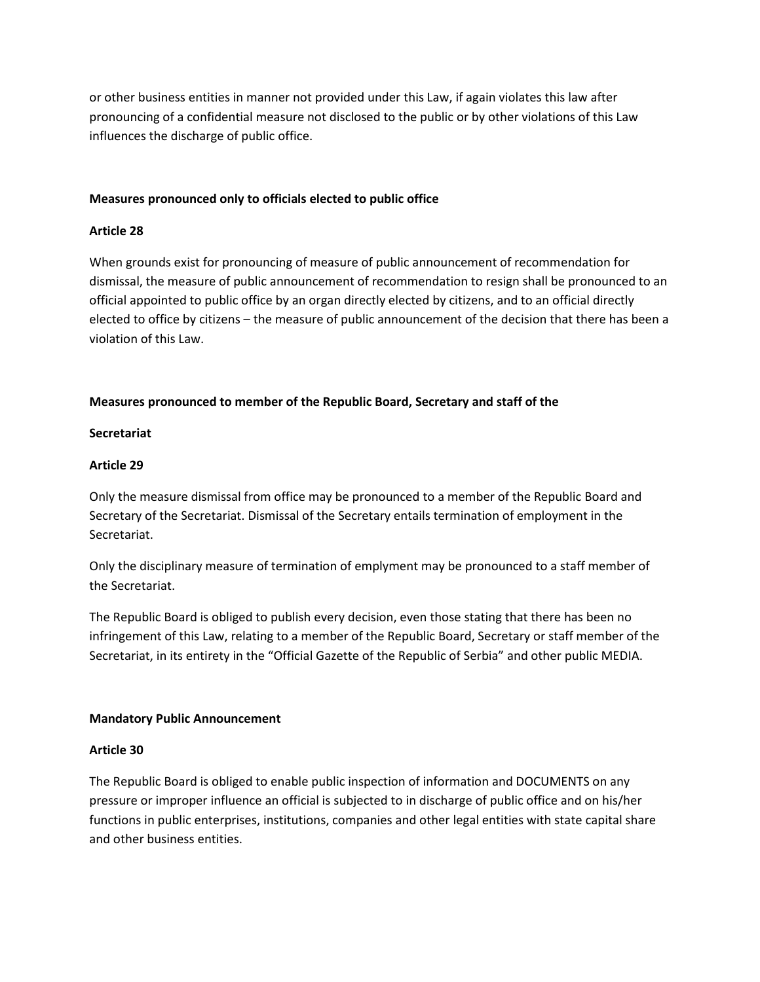or other business entities in manner not provided under this Law, if again violates this law after pronouncing of a confidential measure not disclosed to the public or by other violations of this Law influences the discharge of public office.

### **Measures pronounced only to officials elected to public office**

#### **Article 28**

When grounds exist for pronouncing of measure of public announcement of recommendation for dismissal, the measure of public announcement of recommendation to resign shall be pronounced to an official appointed to public office by an organ directly elected by citizens, and to an official directly elected to office by citizens – the measure of public announcement of the decision that there has been a violation of this Law.

### **Measures pronounced to member of the Republic Board, Secretary and staff of the**

#### **Secretariat**

#### **Article 29**

Only the measure dismissal from office may be pronounced to a member of the Republic Board and Secretary of the Secretariat. Dismissal of the Secretary entails termination of employment in the Secretariat.

Only the disciplinary measure of termination of emplyment may be pronounced to a staff member of the Secretariat.

The Republic Board is obliged to publish every decision, even those stating that there has been no infringement of this Law, relating to a member of the Republic Board, Secretary or staff member of the Secretariat, in its entirety in the "Official Gazette of the Republic of Serbia" and other public MEDIA.

#### **Mandatory Public Announcement**

### **Article 30**

The Republic Board is obliged to enable public inspection of information and DOCUMENTS on any pressure or improper influence an official is subjected to in discharge of public office and on his/her functions in public enterprises, institutions, companies and other legal entities with state capital share and other business entities.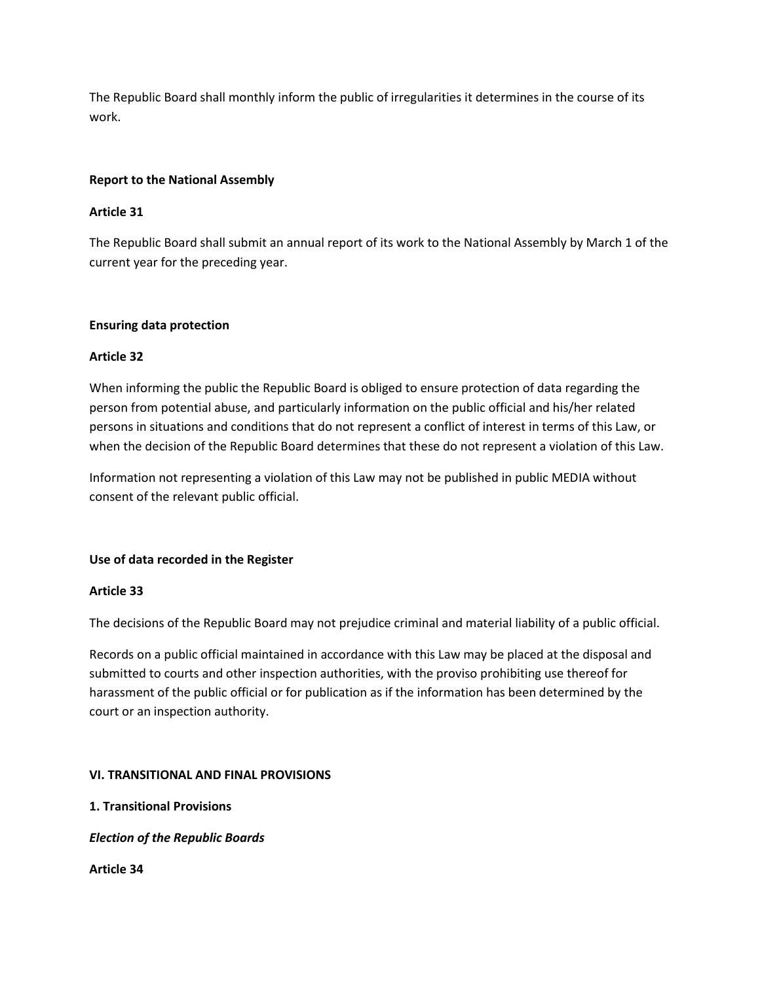The Republic Board shall monthly inform the public of irregularities it determines in the course of its work.

# **Report to the National Assembly**

# **Article 31**

The Republic Board shall submit an annual report of its work to the National Assembly by March 1 of the current year for the preceding year.

### **Ensuring data protection**

# **Article 32**

When informing the public the Republic Board is obliged to ensure protection of data regarding the person from potential abuse, and particularly information on the public official and his/her related persons in situations and conditions that do not represent a conflict of interest in terms of this Law, or when the decision of the Republic Board determines that these do not represent a violation of this Law.

Information not representing a violation of this Law may not be published in public MEDIA without consent of the relevant public official.

### **Use of data recorded in the Register**

### **Article 33**

The decisions of the Republic Board may not prejudice criminal and material liability of a public official.

Records on a public official maintained in accordance with this Law may be placed at the disposal and submitted to courts and other inspection authorities, with the proviso prohibiting use thereof for harassment of the public official or for publication as if the information has been determined by the court or an inspection authority.

### **VI. TRANSITIONAL AND FINAL PROVISIONS**

**1. Transitional Provisions** 

*Election of the Republic Boards*